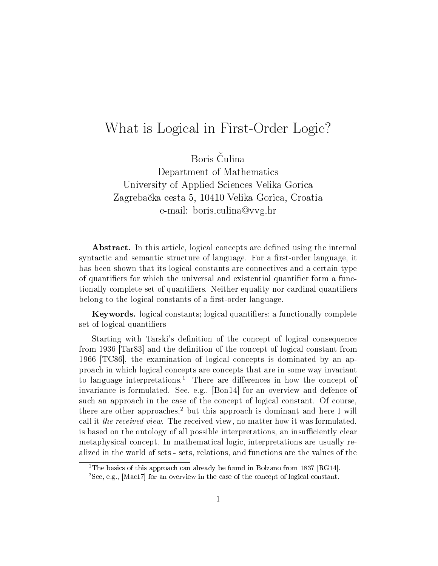## What is Logical in First-Order Logic?

Boris Čulina Department of Mathematics University of Applied Sciences Velika Gorica Zagreba£ka cesta 5, 10410 Velika Gorica, Croatia e-mail: boris.culina@vvg.hr

Abstract. In this article, logical concepts are defined using the internal syntactic and semantic structure of language. For a first-order language, it has been shown that its logical constants are connectives and a certain type of quantifiers for which the universal and existential quantifier form a functionally complete set of quantifiers. Neither equality nor cardinal quantifiers belong to the logical constants of a first-order language.

Keywords. logical constants; logical quantifiers; a functionally complete set of logical quantifiers

Starting with Tarski's definition of the concept of logical consequence from 1936 [Tar83] and the denition of the concept of logical constant from 1966 [TC86], the examination of logical concepts is dominated by an approach in which logical concepts are concepts that are in some way invariant to language interpretations.<sup>1</sup> There are differences in how the concept of invariance is formulated. See, e.g., [Bon14] for an overview and defence of such an approach in the case of the concept of logical constant. Of course, there are other approaches,<sup>2</sup> but this approach is dominant and here I will call it the received view. The received view, no matter how it was formulated, is based on the ontology of all possible interpretations, an insufficiently clear metaphysical concept. In mathematical logic, interpretations are usually realized in the world of sets - sets, relations, and functions are the values of the

<sup>&</sup>lt;sup>1</sup>The basics of this approach can already be found in Bolzano from 1837 [RG14].

<sup>2</sup>See, e.g., [Mac17] for an overview in the case of the concept of logical constant.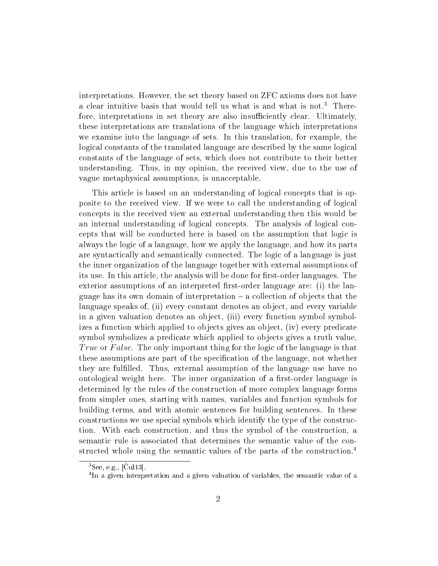interpretations. However, the set theory based on ZFC axioms does not have a clear intuitive basis that would tell us what is and what is not.<sup>3</sup> Therefore, interpretations in set theory are also insufficiently clear. Ultimately, these interpretations are translations of the language which interpretations we examine into the language of sets. In this translation, for example, the logical constants of the translated language are described by the same logical constants of the language of sets, which does not contribute to their better understanding. Thus, in my opinion, the received view, due to the use of vague metaphysical assumptions, is unacceptable.

This article is based on an understanding of logical concepts that is opposite to the received view. If we were to call the understanding of logical concepts in the received view an external understanding then this would be an internal understanding of logical concepts. The analysis of logical concepts that will be conducted here is based on the assumption that logic is always the logic of a language, how we apply the language, and how its parts are syntactically and semantically connected. The logic of a language is just the inner organization of the language together with external assumptions of its use. In this article, the analysis will be done for first-order languages. The exterior assumptions of an interpreted first-order language are: (i) the language has its own domain of interpretation  $-$  a collection of objects that the language speaks of, (ii) every constant denotes an object, and every variable in a given valuation denotes an object, (iii) every function symbol symbolizes a function which applied to objects gives an object, (iv) every predicate symbol symbolizes a predicate which applied to objects gives a truth value, True or False. The only important thing for the logic of the language is that these assumptions are part of the specification of the language, not whether they are fullled. Thus, external assumption of the language use have no ontological weight here. The inner organization of a first-order language is determined by the rules of the construction of more complex language forms from simpler ones, starting with names, variables and function symbols for building terms, and with atomic sentences for building sentences. In these constructions we use special symbols which identify the type of the construction. With each construction, and thus the symbol of the construction, a semantic rule is associated that determines the semantic value of the constructed whole using the semantic values of the parts of the construction.<sup>4</sup>

 ${}^{3}$ See, e.g., [Cul13].

<sup>&</sup>lt;sup>4</sup>In a given interpretation and a given valuation of variables, the semantic value of a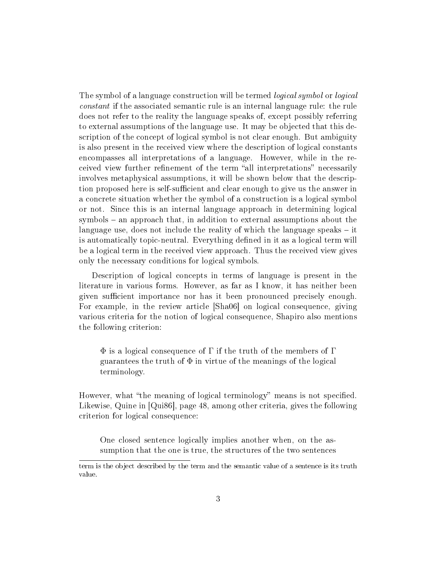The symbol of a language construction will be termed logical symbol or logical constant if the associated semantic rule is an internal language rule: the rule does not refer to the reality the language speaks of, except possibly referring to external assumptions of the language use. It may be objected that this description of the concept of logical symbol is not clear enough. But ambiguity is also present in the received view where the description of logical constants encompasses all interpretations of a language. However, while in the received view further refinement of the term "all interpretations" necessarily involves metaphysical assumptions, it will be shown below that the description proposed here is self-sufficient and clear enough to give us the answer in a concrete situation whether the symbol of a construction is a logical symbol or not. Since this is an internal language approach in determining logical  $symbols$  – an approach that, in addition to external assumptions about the language use, does not include the reality of which the language speaks  $-$  it is automatically topic-neutral. Everything defined in it as a logical term will be a logical term in the received view approach. Thus the received view gives only the necessary conditions for logical symbols.

Description of logical concepts in terms of language is present in the literature in various forms. However, as far as I know, it has neither been given sufficient importance nor has it been pronounced precisely enough. For example, in the review article [Sha06] on logical consequence, giving various criteria for the notion of logical consequence, Shapiro also mentions the following criterion:

 $\Phi$  is a logical consequence of  $\Gamma$  if the truth of the members of  $\Gamma$ guarantees the truth of  $\Phi$  in virtue of the meanings of the logical terminology.

However, what "the meaning of logical terminology" means is not specified. Likewise, Quine in [Qui86], page 48, among other criteria, gives the following criterion for logical consequence:

One closed sentence logically implies another when, on the assumption that the one is true, the structures of the two sentences

term is the object described by the term and the semantic value of a sentence is its truth value.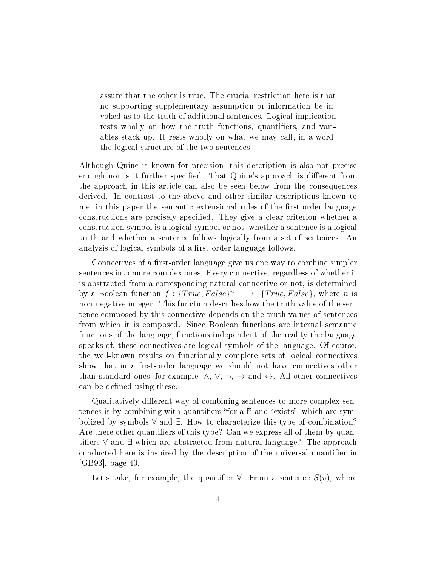assure that the other is true. The crucial restriction here is that no supporting supplementary assumption or information be invoked as to the truth of additional sentences. Logical implication rests wholly on how the truth functions, quantifiers, and variables stack up. It rests wholly on what we may call, in a word, the logical structure of the two sentences.

Although Quine is known for precision, this description is also not precise enough nor is it further specified. That Quine's approach is different from the approach in this article can also be seen below from the consequences derived. In contrast to the above and other similar descriptions known to me, in this paper the semantic extensional rules of the first-order language constructions are precisely specified. They give a clear criterion whether a construction symbol is a logical symbol or not, whether a sentence is a logical truth and whether a sentence follows logically from a set of sentences. An analysis of logical symbols of a first-order language follows.

Connectives of a first-order language give us one way to combine simpler sentences into more complex ones. Every connective, regardless of whether it is abstracted from a corresponding natural connective or not, is determined by a Boolean function  $f: {True, False}^n \longrightarrow {True, False}$ , where *n* is non-negative integer. This function describes how the truth value of the sentence composed by this connective depends on the truth values of sentences from which it is composed. Since Boolean functions are internal semantic functions of the language, functions independent of the reality the language speaks of, these connectives are logical symbols of the language. Of course, the well-known results on functionally complete sets of logical connectives show that in a first-order language we should not have connectives other than standard ones, for example,  $\land$ ,  $\lor$ ,  $\neg$ ,  $\rightarrow$  and  $\leftrightarrow$ . All other connectives can be defined using these.

Qualitatively different way of combining sentences to more complex sentences is by combining with quantifiers "for all" and "exists", which are symbolized by symbols ∀ and ∃. How to characterize this type of combination? Are there other quantifiers of this type? Can we express all of them by quantifiers  $\forall$  and  $\exists$  which are abstracted from natural language? The approach conducted here is inspired by the description of the universal quantifier in [GB93], page 40.

Let's take, for example, the quantifier  $\forall$ . From a sentence  $S(v)$ , where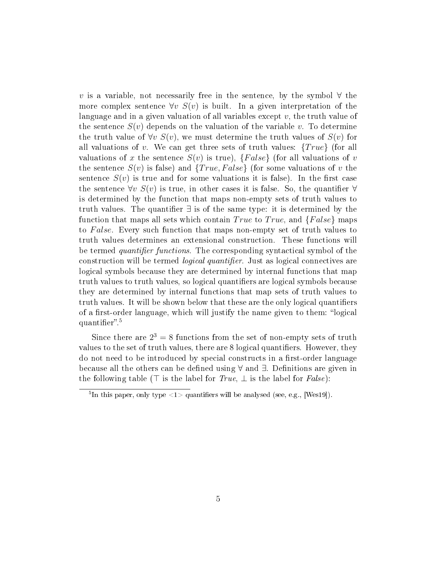v is a variable, not necessarily free in the sentence, by the symbol  $\forall$  the more complex sentence  $\forall v \ S(v)$  is built. In a given interpretation of the language and in a given valuation of all variables except  $v$ , the truth value of the sentence  $S(v)$  depends on the valuation of the variable v. To determine the truth value of  $\forall v \ S(v)$ , we must determine the truth values of  $S(v)$  for all valuations of v. We can get three sets of truth values:  $\{True\}$  (for all valuations of x the sentence  $S(v)$  is true),  ${False}$  (for all valuations of v the sentence  $S(v)$  is false) and  ${True, False}$  (for some valuations of v the sentence  $S(v)$  is true and for some valuations it is false). In the first case the sentence  $\forall v \ S(v)$  is true, in other cases it is false. So, the quantifier  $\forall$ is determined by the function that maps non-empty sets of truth values to truth values. The quantifier  $\exists$  is of the same type: it is determined by the function that maps all sets which contain True to True, and  ${False}$  maps to False. Every such function that maps non-empty set of truth values to truth values determines an extensional construction. These functions will be termed quantifier functions. The corresponding syntactical symbol of the construction will be termed *logical quantifier*. Just as logical connectives are logical symbols because they are determined by internal functions that map truth values to truth values, so logical quantifiers are logical symbols because they are determined by internal functions that map sets of truth values to truth values. It will be shown below that these are the only logical quantifiers of a first-order language, which will justify the name given to them: "logical quantifier".<sup>5</sup>

Since there are  $2^3 = 8$  functions from the set of non-empty sets of truth values to the set of truth values, there are 8 logical quantifiers. However, they do not need to be introduced by special constructs in a first-order language because all the others can be dened using ∀ and ∃. Denitions are given in the following table ( $\top$  is the label for  $True, \perp$  is the label for  $False$ ):

<sup>&</sup>lt;sup>5</sup>In this paper, only type  $\langle 1 \rangle$  quantifiers will be analysed (see, e.g., [Wes19]).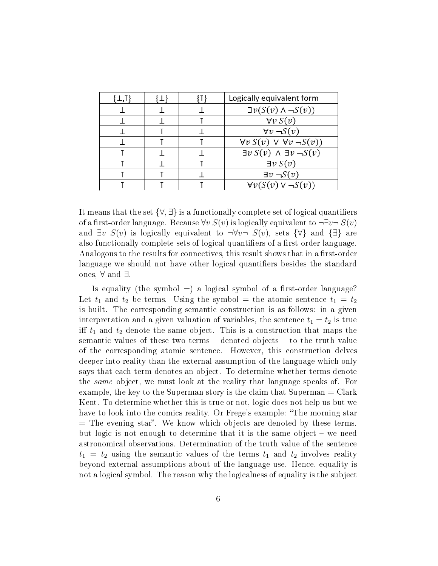|  | Logically equivalent form                  |
|--|--------------------------------------------|
|  | $\exists v(S(v) \land \neg S(v))$          |
|  | $\forall v S(v)$                           |
|  | $\forall v \neg S(v)$                      |
|  | $\forall v S(v) \lor \forall v \neg S(v)$  |
|  | $\exists v S(v) \land \exists v \neg S(v)$ |
|  | $\exists v S(v)$                           |
|  | $\exists \nu \neg S(\nu)$                  |
|  | $\forall v(S(v) \vee \neg S(v))$           |

It means that the set  $\{\forall,\exists\}$  is a functionally complete set of logical quantifiers of a first-order language. Because  $\forall v S(v)$  is logically equivalent to  $\neg \exists v \neg S(v)$ and  $\exists v \ S(v)$  is logically equivalent to  $\neg \forall v \neg S(v)$ , sets  $\{\forall\}$  and  $\{\exists\}$  are also functionally complete sets of logical quantifiers of a first-order language. Analogous to the results for connectives, this result shows that in a first-order language we should not have other logical quantifiers besides the standard ones, ∀ and ∃.

Is equality (the symbol  $=$ ) a logical symbol of a first-order language? Let  $t_1$  and  $t_2$  be terms. Using the symbol = the atomic sentence  $t_1 = t_2$ is built. The corresponding semantic construction is as follows: in a given interpretation and a given valuation of variables, the sentence  $t_1 = t_2$  is true iff  $t_1$  and  $t_2$  denote the same object. This is a construction that maps the semantic values of these two terms  $-$  denoted objects  $-$  to the truth value of the corresponding atomic sentence. However, this construction delves deeper into reality than the external assumption of the language which only says that each term denotes an object. To determine whether terms denote the same object, we must look at the reality that language speaks of. For example, the key to the Superman story is the claim that Superman = Clark Kent. To determine whether this is true or not, logic does not help us but we have to look into the comics reality. Or Frege's example: "The morning star  $=$  The evening star". We know which objects are denoted by these terms, but logic is not enough to determine that it is the same object  $-$  we need astronomical observations. Determination of the truth value of the sentence  $t_1 = t_2$  using the semantic values of the terms  $t_1$  and  $t_2$  involves reality beyond external assumptions about of the language use. Hence, equality is not a logical symbol. The reason why the logicalness of equality is the subject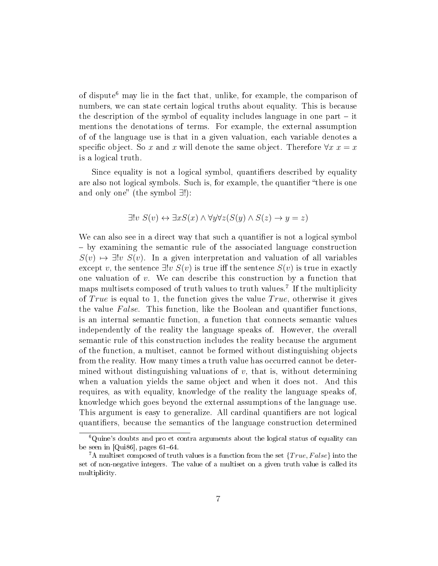of dispute<sup>6</sup> may lie in the fact that, unlike, for example, the comparison of numbers, we can state certain logical truths about equality. This is because the description of the symbol of equality includes language in one part  $-$  it mentions the denotations of terms. For example, the external assumption of of the language use is that in a given valuation, each variable denotes a specific object. So x and x will denote the same object. Therefore  $\forall x \ x = x$ is a logical truth.

Since equality is not a logical symbol, quantifiers described by equality are also not logical symbols. Such is, for example, the quantifier "there is one and only one" (the symbol  $\exists$ !):

$$
\exists! v \ S(v) \leftrightarrow \exists x S(x) \land \forall y \forall z (S(y) \land S(z) \rightarrow y = z)
$$

We can also see in a direct way that such a quantifier is not a logical symbol by examining the semantic rule of the associated language construction  $S(v) \mapsto \exists! v \ S(v)$ . In a given interpretation and valuation of all variables except v, the sentence  $\exists! v \ S(v)$  is true iff the sentence  $S(v)$  is true in exactly one valuation of  $v$ . We can describe this construction by a function that maps multisets composed of truth values to truth values.<sup>7</sup> If the multiplicity of True is equal to 1, the function gives the value  $True$ , otherwise it gives the value False. This function, like the Boolean and quantifier functions, is an internal semantic function, a function that connects semantic values independently of the reality the language speaks of. However, the overall semantic rule of this construction includes the reality because the argument of the function, a multiset, cannot be formed without distinguishing objects from the reality. How many times a truth value has occurred cannot be determined without distinguishing valuations of  $v$ , that is, without determining when a valuation yields the same object and when it does not. And this requires, as with equality, knowledge of the reality the language speaks of, knowledge which goes beyond the external assumptions of the language use. This argument is easy to generalize. All cardinal quantifiers are not logical quantifiers, because the semantics of the language construction determined

<sup>6</sup>Quine's doubts and pro et contra arguments about the logical status of equality can be seen in  $[Qui86]$ , pages  $61-64$ .

<sup>&</sup>lt;sup>7</sup>A multiset composed of truth values is a function from the set  ${True, False}$  into the set of non-negative integers. The value of a multiset on a given truth value is called its multiplicity.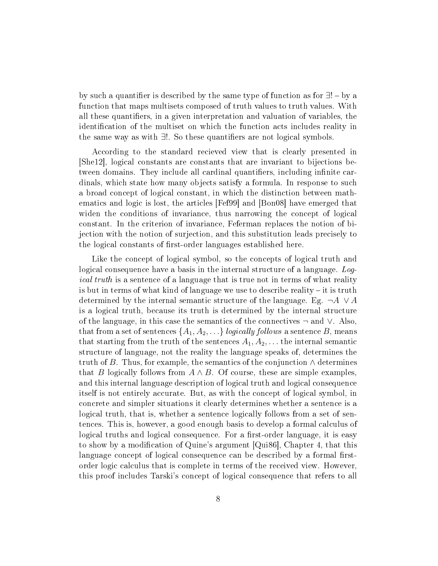by such a quantifier is described by the same type of function as for  $\exists!$  – by a function that maps multisets composed of truth values to truth values. With all these quantifiers, in a given interpretation and valuation of variables, the identification of the multiset on which the function acts includes reality in the same way as with  $∃!$ . So these quantifiers are not logical symbols.

According to the standard recieved view that is clearly presented in [She12], logical constants are constants that are invariant to bijections between domains. They include all cardinal quantifiers, including infinite cardinals, which state how many objects satisfy a formula. In response to such a broad concept of logical constant, in which the distinction between mathematics and logic is lost, the articles [Fef99] and [Bon08] have emerged that widen the conditions of invariance, thus narrowing the concept of logical constant. In the criterion of invariance, Feferman replaces the notion of bijection with the notion of surjection, and this substitution leads precisely to the logical constants of first-order languages established here.

Like the concept of logical symbol, so the concepts of logical truth and logical consequence have a basis in the internal structure of a language. Logical truth is a sentence of a language that is true not in terms of what reality is but in terms of what kind of language we use to describe reality  $-$  it is truth determined by the internal semantic structure of the language. Eg.  $\neg A \lor A$ is a logical truth, because its truth is determined by the internal structure of the language, in this case the semantics of the connectives  $\neg$  and  $\vee$ . Also, that from a set of sentences  $\{A_1, A_2, \ldots\}$  logically follows a sentence B, means that starting from the truth of the sentences  $A_1, A_2, \ldots$  the internal semantic structure of language, not the reality the language speaks of, determines the truth of B. Thus, for example, the semantics of the conjunction  $\wedge$  determines that B logically follows from  $A \wedge B$ . Of course, these are simple examples. and this internal language description of logical truth and logical consequence itself is not entirely accurate. But, as with the concept of logical symbol, in concrete and simpler situations it clearly determines whether a sentence is a logical truth, that is, whether a sentence logically follows from a set of sentences. This is, however, a good enough basis to develop a formal calculus of logical truths and logical consequence. For a first-order language, it is easy to show by a modification of Quine's argument [Qui86], Chapter 4, that this language concept of logical consequence can be described by a formal firstorder logic calculus that is complete in terms of the received view. However, this proof includes Tarski's concept of logical consequence that refers to all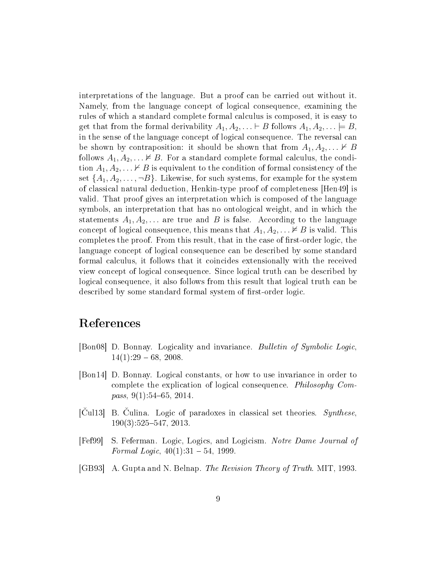interpretations of the language. But a proof can be carried out without it. Namely, from the language concept of logical consequence, examining the rules of which a standard complete formal calculus is composed, it is easy to get that from the formal derivability  $A_1, A_2, \ldots \vdash B$  follows  $A_1, A_2, \ldots \vdash B$ , in the sense of the language concept of logical consequence. The reversal can be shown by contraposition: it should be shown that from  $A_1, A_2, \ldots \nvdash B$ follows  $A_1, A_2, \ldots \nvDash B$ . For a standard complete formal calculus, the condition  $A_1, A_2, \ldots \nvdash B$  is equivalent to the condition of formal consistency of the set  $\{A_1, A_2, \ldots, \neg B\}$ . Likewise, for such systems, for example for the system of classical natural deduction, Henkin-type proof of completeness [Hen49] is valid. That proof gives an interpretation which is composed of the language symbols, an interpretation that has no ontological weight, and in which the statements  $A_1, A_2, \ldots$  are true and B is false. According to the language concept of logical consequence, this means that  $A_1, A_2, \ldots \nvDash B$  is valid. This completes the proof. From this result, that in the case of first-order logic, the language concept of logical consequence can be described by some standard formal calculus, it follows that it coincides extensionally with the received view concept of logical consequence. Since logical truth can be described by logical consequence, it also follows from this result that logical truth can be described by some standard formal system of first-order logic.

## References

- [Bon08] D. Bonnay. Logicality and invariance. Bulletin of Symbolic Logic,  $14(1):29 - 68, 2008.$
- [Bon14] D. Bonnay. Logical constants, or how to use invariance in order to complete the explication of logical consequence. Philosophy Compass,  $9(1):54-65$ ,  $2014$ .
- $[\text{Cul13}]$  B. Culina. Logic of paradoxes in classical set theories. Synthese,  $190(3):525-547, 2013.$
- [Fef99] S. Feferman. Logic, Logics, and Logicism. Notre Dame Journal of Formal Logic,  $40(1):31 - 54$ , 1999.
- [GB93] A. Gupta and N. Belnap. The Revision Theory of Truth. MIT, 1993.